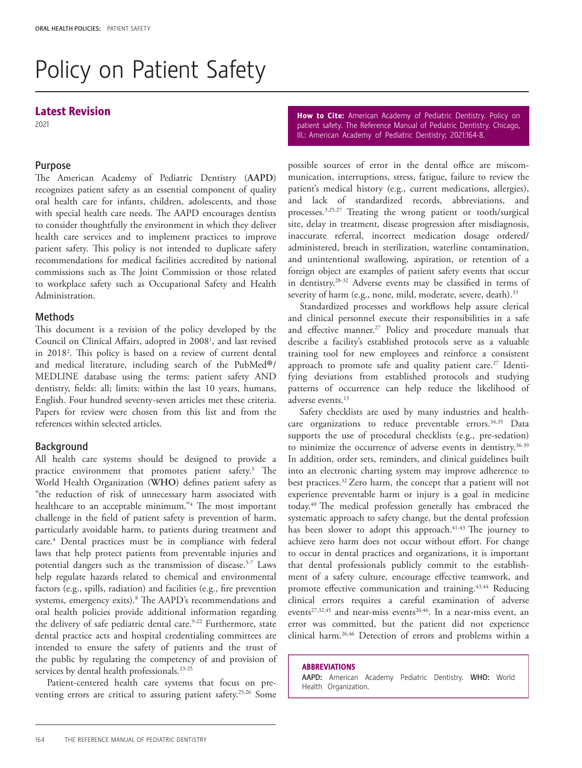# Policy on Patient Safety

# Latest Revision

2021

#### Purpose

The American Academy of Pediatric Dentistry (**AAPD**) recognizes patient safety as an essential component of quality oral health care for infants, children, adolescents, and those with special health care needs. The AAPD encourages dentists to consider thoughtfully the environment in which they deliver health care services and to implement practices to improve patient safety. This policy is not intended to duplicate safety recommendations for medical facilities accredited by national commissions such as The Joint Commission or those related to workplace safety such as Occupational Safety and Health Administration.

## **Methods**

This document is a revision of the policy developed by the Council on Clinical Affairs, adopted in 2008<sup>1</sup>, and last revised in 20182 . This policy is based on a review of current dental and medical literature, including search of the PubMed®/ MEDLINE database using the terms: patient safety AND dentistry, fields: all; limits: within the last 10 years, humans, English. Four hundred seventy-seven articles met these criteria. Papers for review were chosen from this list and from the references within selected articles.

### Background

All health care systems should be designed to provide a practice environment that promotes patient safety.3 The World Health Organization (**WHO**) defines patient safety as "the reduction of risk of unnecessary harm associated with healthcare to an acceptable minimum."4 The most important challenge in the field of patient safety is prevention of harm, particularly avoidable harm, to patients during treatment and care.<sup>4</sup> Dental practices must be in compliance with federal laws that help protect patients from preventable injuries and potential dangers such as the transmission of disease.5-7 Laws help regulate hazards related to chemical and environmental factors (e.g., spills, radiation) and facilities (e.g., fire prevention systems, emergency exits).<sup>8</sup> The AAPD's recommendations and oral health policies provide additional information regarding the delivery of safe pediatric dental care.<sup>9-22</sup> Furthermore, state dental practice acts and hospital credentialing committees are intended to ensure the safety of patients and the trust of the public by regulating the competency of and provision of services by dental health professionals.<sup>23-25</sup>

Patient-centered health care systems that focus on preventing errors are critical to assuring patient safety.<sup>25,26</sup> Some How to Cite: American Academy of Pediatric Dentistry. Policy on patient safety. The Reference Manual of Pediatric Dentistry. Chicago, Ill.: American Academy of Pediatric Dentistry; 2021:164-8.

possible sources of error in the dental office are miscommunication, interruptions, stress, fatigue, failure to review the patient's medical history (e.g., current medications, allergies), and lack of standardized records, abbreviations, and processes.3,25,27 Treating the wrong patient or tooth/surgical site, delay in treatment, disease progression after misdiagnosis, inaccurate referral, incorrect medication dosage ordered/ administered, breach in sterilization, waterline contamination, and unintentional swallowing, aspiration, or retention of a foreign object are examples of patient safety events that occur in dentistry.28-32 Adverse events may be classified in terms of severity of harm (e.g., none, mild, moderate, severe, death).<sup>33</sup>

Standardized processes and workflows help assure clerical and clinical personnel execute their responsibilities in a safe and effective manner.<sup>27</sup> Policy and procedure manuals that describe a facility's established protocols serve as a valuable training tool for new employees and reinforce a consistent approach to promote safe and quality patient care.<sup>27</sup> Identifying deviations from established protocols and studying patterns of occurrence can help reduce the likelihood of adverse events.13

Safety checklists are used by many industries and healthcare organizations to reduce preventable errors.<sup>34,35</sup> Data supports the use of procedural checklists (e.g., pre-sedation) to minimize the occurrence of adverse events in dentistry.<sup>36-39</sup> In addition, order sets, reminders, and clinical guidelines built into an electronic charting system may improve adherence to best practices.32 Zero harm, the concept that a patient will not experience preventable harm or injury is a goal in medicine today.40 The medical profession generally has embraced the systematic approach to safety change, but the dental profession has been slower to adopt this approach.<sup>41-43</sup> The journey to achieve zero harm does not occur without effort. For change to occur in dental practices and organizations, it is important that dental professionals publicly commit to the establishment of a safety culture, encourage effective teamwork, and promote effective communication and training.43,44 Reducing clinical errors requires a careful examination of adverse events<sup>27,32,45</sup> and near-miss events<sup>26,46</sup>. In a near-miss event, an error was committed, but the patient did not experience clinical harm.26,46 Detection of errors and problems within a

#### ABBREVIATIONS

AAPD: American Academy Pediatric Dentistry. WHO: World Health Organization.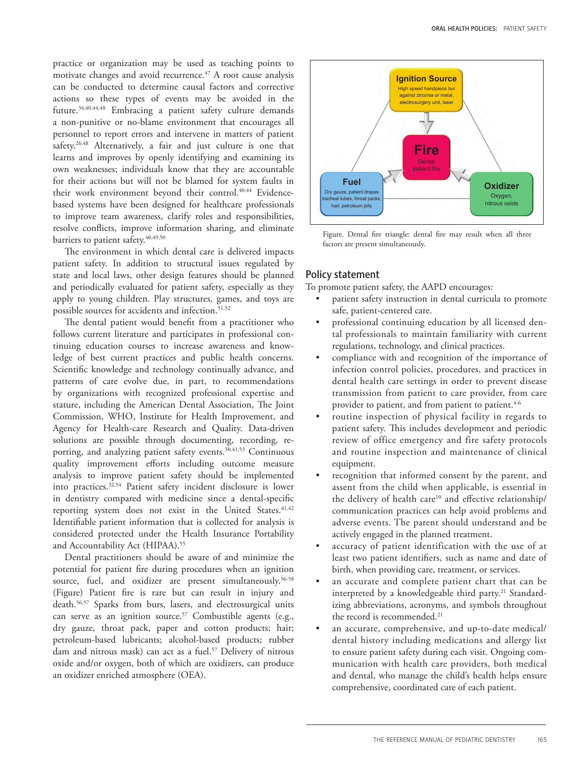practice or organization may be used as teaching points to motivate changes and avoid recurrence.<sup> $47$ </sup> A root cause analysis can be conducted to determine causal factors and corrective actions so these types of events may be avoided in the future.34,40,44,48 Embracing a patient safety culture demands a non-punitive or no-blame environment that encourages all personnel to report errors and intervene in matters of patient safety.<sup>26,48</sup> Alternatively, a fair and just culture is one that learns and improves by openly identifying and examining its own weaknesses; individuals know that they are accountable for their actions but will not be blamed for system faults in their work environment beyond their control.<sup>40,44</sup> Evidencebased systems have been designed for healthcare professionals to improve team awareness, clarify roles and responsibilities, resolve conflicts, improve information sharing, and eliminate barriers to patient safety.<sup>40,49,50</sup>

The environment in which dental care is delivered impacts patient safety. In addition to structural issues regulated by state and local laws, other design features should be planned and periodically evaluated for patient safety, especially as they apply to young children. Play structures, games, and toys are possible sources for accidents and infection.<sup>51,52</sup>

The dental patient would benefit from a practitioner who follows current literature and participates in professional continuing education courses to increase awareness and knowledge of best current practices and public health concerns. Scientific knowledge and technology continually advance, and patterns of care evolve due, in part, to recommendations by organizations with recognized professional expertise and stature, including the American Dental Association, The Joint Commission, WHO, Institute for Health Improvement, and Agency for Health-care Research and Quality. Data-driven solutions are possible through documenting, recording, reporting, and analyzing patient safety events.<sup>30,41,53</sup> Continuous quality improvement efforts including outcome measure analysis to improve patient safety should be implemented into practices.32,54 Patient safety incident disclosure is lower in dentistry compared with medicine since a dental-specific reporting system does not exist in the United States.<sup>41,42</sup> Identifiable patient information that is collected for analysis is considered protected under the Health Insurance Portability and Accountability Act (HIPAA).<sup>55</sup>

Dental practitioners should be aware of and minimize the potential for patient fire during procedures when an ignition source, fuel, and oxidizer are present simultaneously.<sup>56-58</sup> (Figure) Patient fire is rare but can result in injury and death.56,57 Sparks from burs, lasers, and electrosurgical units can serve as an ignition source.<sup>57</sup> Combustible agents (e.g., dry gauze, throat pack, paper and cotton products; hair; petroleum-based lubricants; alcohol-based products; rubber dam and nitrous mask) can act as a fuel.<sup>57</sup> Delivery of nitrous oxide and/or oxygen, both of which are oxidizers, can produce an oxidizer enriched atmosphere (OEA).



Figure. Dental fire triangle: dental fire may result when all three factors are present simultaneously.

#### Policy statement

To promote patient safety, the AAPD encourages:

- patient safety instruction in dental curricula to promote safe, patient-centered care.
- professional continuing education by all licensed dental professionals to maintain familiarity with current regulations, technology, and clinical practices.
- compliance with and recognition of the importance of infection control policies, procedures, and practices in dental health care settings in order to prevent disease transmission from patient to care provider, from care provider to patient, and from patient to patient.<sup>4-6</sup>
- routine inspection of physical facility in regards to patient safety. This includes development and periodic review of office emergency and fire safety protocols and routine inspection and maintenance of clinical equipment.
- recognition that informed consent by the parent, and assent from the child when applicable, is essential in the delivery of health care<sup>10</sup> and effective relationship/ communication practices can help avoid problems and adverse events. The parent should understand and be actively engaged in the planned treatment.
- accuracy of patient identification with the use of at least two patient identifiers, such as name and date of birth, when providing care, treatment, or services.
- an accurate and complete patient chart that can be interpreted by a knowledgeable third party.<sup>21</sup> Standardizing abbreviations, acronyms, and symbols throughout the record is recommended.<sup>21</sup>
- an accurate, comprehensive, and up-to-date medical/ dental history including medications and allergy list to ensure patient safety during each visit. Ongoing communication with health care providers, both medical and dental, who manage the child's health helps ensure comprehensive, coordinated care of each patient.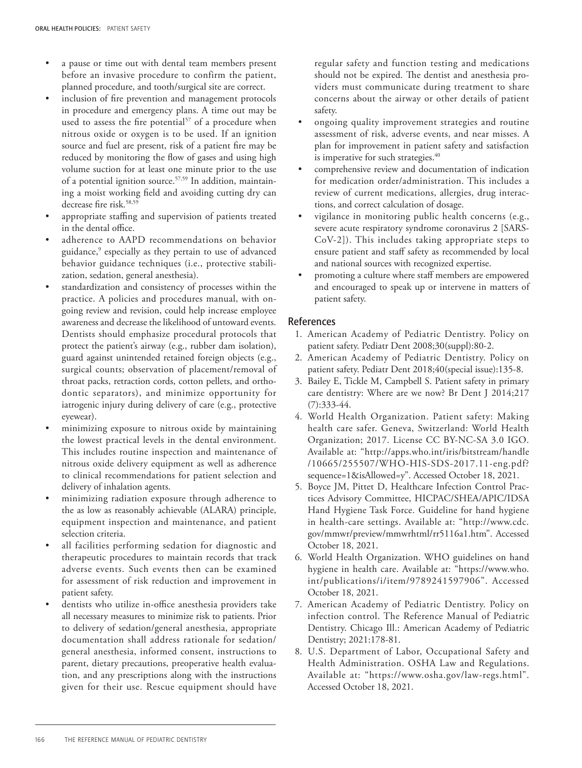- a pause or time out with dental team members present before an invasive procedure to confirm the patient, planned procedure, and tooth/surgical site are correct.
- inclusion of fire prevention and management protocols in procedure and emergency plans. A time out may be used to assess the fire potential<sup>57</sup> of a procedure when nitrous oxide or oxygen is to be used. If an ignition source and fuel are present, risk of a patient fire may be reduced by monitoring the flow of gases and using high volume suction for at least one minute prior to the use of a potential ignition source.<sup>57,59</sup> In addition, maintaining a moist working field and avoiding cutting dry can decrease fire risk.<sup>58,59</sup>
- appropriate staffing and supervision of patients treated in the dental office.
- adherence to AAPD recommendations on behavior guidance,9 especially as they pertain to use of advanced behavior guidance techniques (i.e., protective stabilization, sedation, general anesthesia).
- standardization and consistency of processes within the practice. A policies and procedures manual, with ongoing review and revision, could help increase employee awareness and decrease the likelihood of untoward events. Dentists should emphasize procedural protocols that protect the patient's airway (e.g., rubber dam isolation), guard against unintended retained foreign objects (e.g., surgical counts; observation of placement/removal of throat packs, retraction cords, cotton pellets, and orthodontic separators), and minimize opportunity for iatrogenic injury during delivery of care (e.g., protective eyewear).
- minimizing exposure to nitrous oxide by maintaining the lowest practical levels in the dental environment. This includes routine inspection and maintenance of nitrous oxide delivery equipment as well as adherence to clinical recommendations for patient selection and delivery of inhalation agents.
- minimizing radiation exposure through adherence to the as low as reasonably achievable (ALARA) principle, equipment inspection and maintenance, and patient selection criteria.
- all facilities performing sedation for diagnostic and therapeutic procedures to maintain records that track adverse events. Such events then can be examined for assessment of risk reduction and improvement in patient safety.
- dentists who utilize in-office anesthesia providers take all necessary measures to minimize risk to patients. Prior to delivery of sedation/general anesthesia, appropriate documentation shall address rationale for sedation/ general anesthesia, informed consent, instructions to parent, dietary precautions, preoperative health evaluation, and any prescriptions along with the instructions given for their use. Rescue equipment should have

regular safety and function testing and medications should not be expired. The dentist and anesthesia providers must communicate during treatment to share concerns about the airway or other details of patient safety.

- ongoing quality improvement strategies and routine assessment of risk, adverse events, and near misses. A plan for improvement in patient safety and satisfaction is imperative for such strategies.<sup>40</sup>
- comprehensive review and documentation of indication for medication order/administration. This includes a review of current medications, allergies, drug interactions, and correct calculation of dosage.
- vigilance in monitoring public health concerns (e.g., severe acute respiratory syndrome coronavirus 2 [SARS-CoV-2]). This includes taking appropriate steps to ensure patient and staff safety as recommended by local and national sources with recognized expertise.
- promoting a culture where staff members are empowered and encouraged to speak up or intervene in matters of patient safety.

#### References

- 1. American Academy of Pediatric Dentistry. Policy on patient safety. Pediatr Dent 2008;30(suppl):80-2.
- 2. American Academy of Pediatric Dentistry. Policy on patient safety. Pediatr Dent 2018;40(special issue):135-8.
- 3. Bailey E, Tickle M, Campbell S. Patient safety in primary care dentistry: Where are we now? Br Dent J 2014;217 (7):333-44.
- 4. World Health Organization. Patient safety: Making health care safer. Geneva, Switzerland: World Health Organization; 2017. License CC BY-NC-SA 3.0 IGO. Available at: "http://apps.who.int/iris/bitstream/handle /10665/255507/WHO-HIS-SDS-2017.11-eng.pdf? sequence=1&isAllowed=y". Accessed October 18, 2021.
- 5. Boyce JM, Pittet D, Healthcare Infection Control Practices Advisory Committee, HICPAC/SHEA/APIC/IDSA Hand Hygiene Task Force. Guideline for hand hygiene in health-care settings. Available at: "http://www.cdc. gov/mmwr/preview/mmwrhtml/rr5116a1.htm". Accessed October 18, 2021.
- 6. World Health Organization. WHO guidelines on hand hygiene in health care. Available at: "https://www.who. int/publications/i/item/9789241597906". Accessed October 18, 2021.
- 7. American Academy of Pediatric Dentistry. Policy on infection control. The Reference Manual of Pediatric Dentistry. Chicago Ill.: American Academy of Pediatric Dentistry; 2021:178-81.
- 8. U.S. Department of Labor, Occupational Safety and Health Administration. OSHA Law and Regulations. Available at: "https://www.osha.gov/law-regs.html". Accessed October 18, 2021.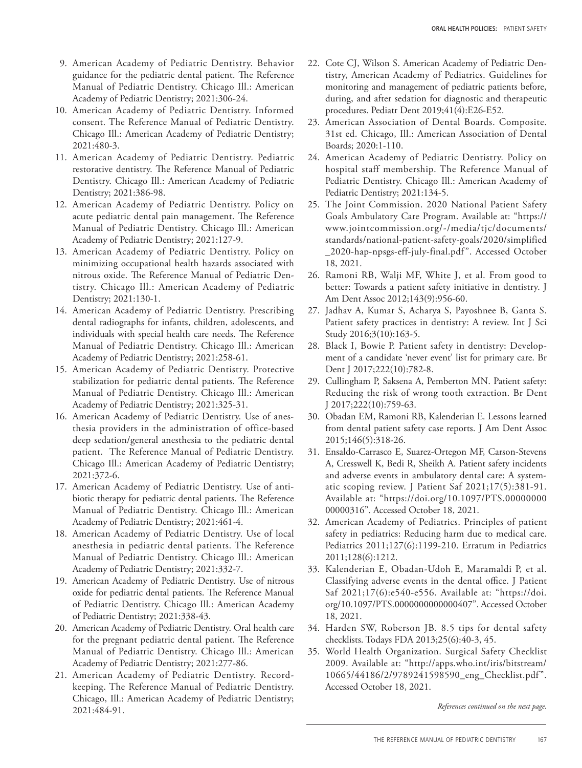- 9. American Academy of Pediatric Dentistry. Behavior guidance for the pediatric dental patient. The Reference Manual of Pediatric Dentistry. Chicago Ill.: American Academy of Pediatric Dentistry; 2021:306-24.
- 10. American Academy of Pediatric Dentistry. Informed consent. The Reference Manual of Pediatric Dentistry. Chicago Ill.: American Academy of Pediatric Dentistry; 2021:480-3.
- 11. American Academy of Pediatric Dentistry. Pediatric restorative dentistry. The Reference Manual of Pediatric Dentistry. Chicago Ill.: American Academy of Pediatric Dentistry; 2021:386-98.
- 12. American Academy of Pediatric Dentistry. Policy on acute pediatric dental pain management. The Reference Manual of Pediatric Dentistry. Chicago Ill.: American Academy of Pediatric Dentistry; 2021:127-9.
- 13. American Academy of Pediatric Dentistry. Policy on minimizing occupational health hazards associated with nitrous oxide. The Reference Manual of Pediatric Dentistry. Chicago Ill.: American Academy of Pediatric Dentistry; 2021:130-1.
- 14. American Academy of Pediatric Dentistry. Prescribing dental radiographs for infants, children, adolescents, and individuals with special health care needs. The Reference Manual of Pediatric Dentistry. Chicago Ill.: American Academy of Pediatric Dentistry; 2021:258-61.
- 15. American Academy of Pediatric Dentistry. Protective stabilization for pediatric dental patients. The Reference Manual of Pediatric Dentistry. Chicago Ill.: American Academy of Pediatric Dentistry; 2021:325-31.
- 16. American Academy of Pediatric Dentistry. Use of anesthesia providers in the administration of office-based deep sedation/general anesthesia to the pediatric dental patient. The Reference Manual of Pediatric Dentistry. Chicago Ill.: American Academy of Pediatric Dentistry; 2021:372-6.
- 17. American Academy of Pediatric Dentistry. Use of antibiotic therapy for pediatric dental patients. The Reference Manual of Pediatric Dentistry. Chicago Ill.: American Academy of Pediatric Dentistry; 2021:461-4.
- 18. American Academy of Pediatric Dentistry. Use of local anesthesia in pediatric dental patients. The Reference Manual of Pediatric Dentistry. Chicago Ill.: American Academy of Pediatric Dentistry; 2021:332-7.
- 19. American Academy of Pediatric Dentistry. Use of nitrous oxide for pediatric dental patients. The Reference Manual of Pediatric Dentistry. Chicago Ill.: American Academy of Pediatric Dentistry; 2021:338-43.
- 20. American Academy of Pediatric Dentistry. Oral health care for the pregnant pediatric dental patient. The Reference Manual of Pediatric Dentistry. Chicago Ill.: American Academy of Pediatric Dentistry; 2021:277-86.
- 21. American Academy of Pediatric Dentistry. Recordkeeping. The Reference Manual of Pediatric Dentistry. Chicago, Ill.: American Academy of Pediatric Dentistry; 2021:484-91.
- 22. Cote CJ, Wilson S. American Academy of Pediatric Dentistry, American Academy of Pediatrics. Guidelines for monitoring and management of pediatric patients before, during, and after sedation for diagnostic and therapeutic procedures. Pediatr Dent 2019;41(4):E26-E52.
- 23. American Association of Dental Boards. Composite. 31st ed. Chicago, Ill.: American Association of Dental Boards; 2020:1-110.
- 24. American Academy of Pediatric Dentistry. Policy on hospital staff membership. The Reference Manual of Pediatric Dentistry. Chicago Ill.: American Academy of Pediatric Dentistry; 2021:134-5.
- 25. The Joint Commission. 2020 National Patient Safety Goals Ambulatory Care Program. Available at: "https:// www.jointcommission.org/-/media/tjc/documents/ standards/national-patient-safety-goals/2020/simplified \_2020-hap-npsgs-eff-july-final.pdf ". Accessed October 18, 2021.
- 26. Ramoni RB, Walji MF, White J, et al. From good to better: Towards a patient safety initiative in dentistry. J Am Dent Assoc 2012;143(9):956-60.
- 27. Jadhav A, Kumar S, Acharya S, Payoshnee B, Ganta S. Patient safety practices in dentistry: A review. Int J Sci Study 2016;3(10):163-5.
- 28. Black I, Bowie P. Patient safety in dentistry: Development of a candidate 'never event' list for primary care. Br Dent J 2017;222(10):782-8.
- 29. Cullingham P, Saksena A, Pemberton MN. Patient safety: Reducing the risk of wrong tooth extraction. Br Dent J 2017;222(10):759-63.
- 30. Obadan EM, Ramoni RB, Kalenderian E. Lessons learned from dental patient safety case reports. J Am Dent Assoc 2015;146(5):318-26.
- 31. Ensaldo-Carrasco E, Suarez-Ortegon MF, Carson-Stevens A, Cresswell K, Bedi R, Sheikh A. Patient safety incidents and adverse events in ambulatory dental care: A systematic scoping review. J Patient Saf 2021;17(5):381-91. Available at: "https://doi.org/10.1097/PTS.00000000 00000316". Accessed October 18, 2021.
- 32. American Academy of Pediatrics. Principles of patient safety in pediatrics: Reducing harm due to medical care. Pediatrics 2011;127(6):1199-210. Erratum in Pediatrics 2011;128(6):1212.
- 33. Kalenderian E, Obadan-Udoh E, Maramaldi P, et al. Classifying adverse events in the dental office. J Patient Saf 2021;17(6):e540-e556. Available at: "https://doi. org/10.1097/PTS.0000000000000407". Accessed October 18, 2021.
- 34. Harden SW, Roberson JB. 8.5 tips for dental safety checklists. Todays FDA 2013;25(6):40-3, 45.
- 35. World Health Organization. Surgical Safety Checklist 2009. Available at: "http://apps.who.int/iris/bitstream/ 10665/44186/2/9789241598590\_eng\_Checklist.pdf ". Accessed October 18, 2021.

*References continued on the next page.*